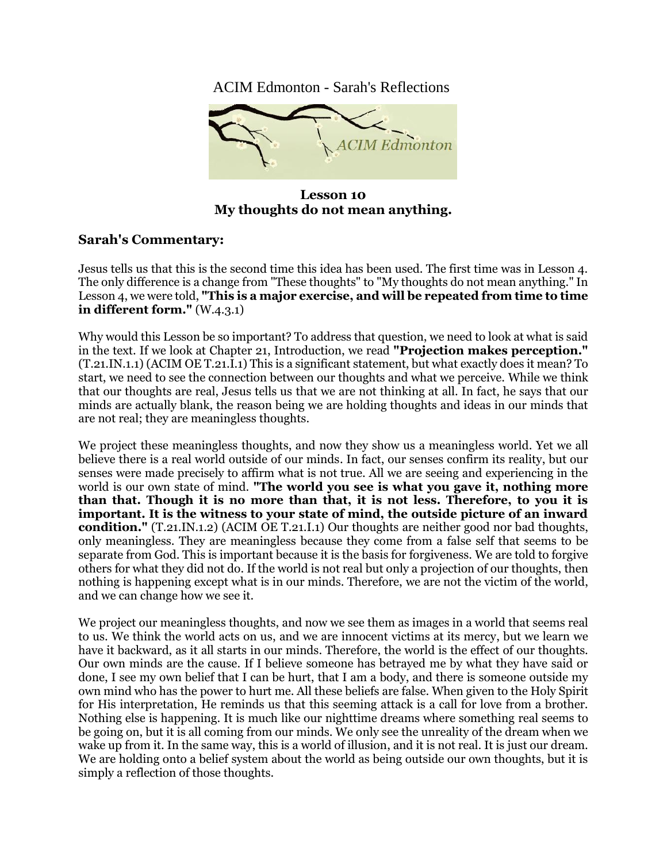ACIM Edmonton - Sarah's Reflections



**Lesson 10 My thoughts do not mean anything.**

## **Sarah's Commentary:**

Jesus tells us that this is the second time this idea has been used. The first time was in Lesson 4. The only difference is a change from "These thoughts" to "My thoughts do not mean anything." In Lesson 4, we were told, **"This is a major exercise, and will be repeated from time to time in different form."** (W.4.3.1)

Why would this Lesson be so important? To address that question, we need to look at what is said in the text. If we look at Chapter 21, Introduction, we read **"Projection makes perception."** (T.21.IN.1.1) (ACIM OE T.21.I.1) This is a significant statement, but what exactly does it mean? To start, we need to see the connection between our thoughts and what we perceive. While we think that our thoughts are real, Jesus tells us that we are not thinking at all. In fact, he says that our minds are actually blank, the reason being we are holding thoughts and ideas in our minds that are not real; they are meaningless thoughts.

We project these meaningless thoughts, and now they show us a meaningless world. Yet we all believe there is a real world outside of our minds. In fact, our senses confirm its reality, but our senses were made precisely to affirm what is not true. All we are seeing and experiencing in the world is our own state of mind. **"The world you see is what you gave it, nothing more than that. Though it is no more than that, it is not less. Therefore, to you it is important. It is the witness to your state of mind, the outside picture of an inward condition."** (T.21.IN.1.2) (ACIM OE T.21.I.1) Our thoughts are neither good nor bad thoughts, only meaningless. They are meaningless because they come from a false self that seems to be separate from God. This is important because it is the basis for forgiveness. We are told to forgive others for what they did not do. If the world is not real but only a projection of our thoughts, then nothing is happening except what is in our minds. Therefore, we are not the victim of the world, and we can change how we see it.

We project our meaningless thoughts, and now we see them as images in a world that seems real to us. We think the world acts on us, and we are innocent victims at its mercy, but we learn we have it backward, as it all starts in our minds. Therefore, the world is the effect of our thoughts. Our own minds are the cause. If I believe someone has betrayed me by what they have said or done, I see my own belief that I can be hurt, that I am a body, and there is someone outside my own mind who has the power to hurt me. All these beliefs are false. When given to the Holy Spirit for His interpretation, He reminds us that this seeming attack is a call for love from a brother. Nothing else is happening. It is much like our nighttime dreams where something real seems to be going on, but it is all coming from our minds. We only see the unreality of the dream when we wake up from it. In the same way, this is a world of illusion, and it is not real. It is just our dream. We are holding onto a belief system about the world as being outside our own thoughts, but it is simply a reflection of those thoughts.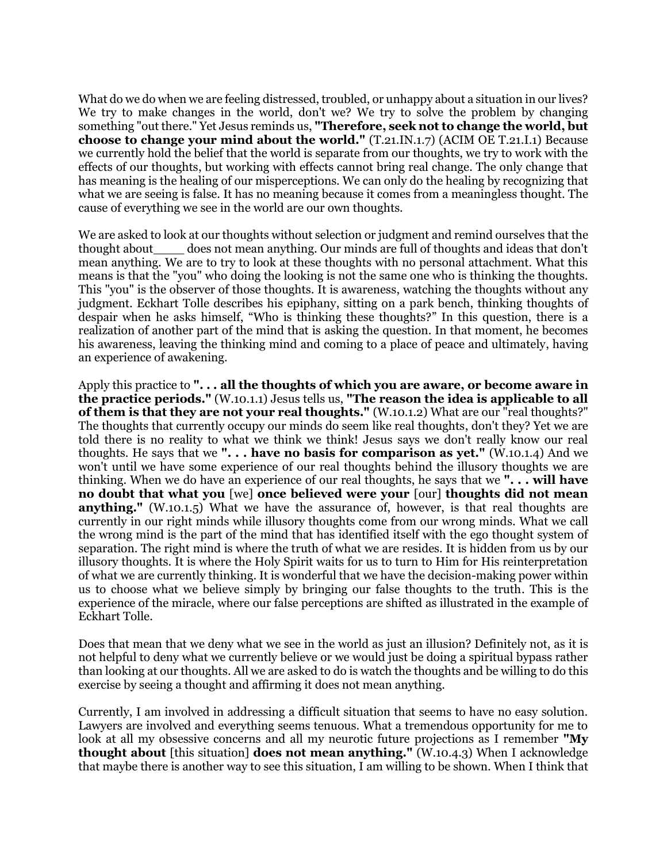What do we do when we are feeling distressed, troubled, or unhappy about a situation in our lives? We try to make changes in the world, don't we? We try to solve the problem by changing something "out there." Yet Jesus reminds us, **"Therefore, seek not to change the world, but choose to change your mind about the world."** (T.21.IN.1.7) (ACIM OE T.21.I.1) Because we currently hold the belief that the world is separate from our thoughts, we try to work with the effects of our thoughts, but working with effects cannot bring real change. The only change that has meaning is the healing of our misperceptions. We can only do the healing by recognizing that what we are seeing is false. It has no meaning because it comes from a meaningless thought. The cause of everything we see in the world are our own thoughts.

We are asked to look at our thoughts without selection or judgment and remind ourselves that the thought about\_\_\_\_ does not mean anything. Our minds are full of thoughts and ideas that don't mean anything. We are to try to look at these thoughts with no personal attachment. What this means is that the "you" who doing the looking is not the same one who is thinking the thoughts. This "you" is the observer of those thoughts. It is awareness, watching the thoughts without any judgment. Eckhart Tolle describes his epiphany, sitting on a park bench, thinking thoughts of despair when he asks himself, "Who is thinking these thoughts?" In this question, there is a realization of another part of the mind that is asking the question. In that moment, he becomes his awareness, leaving the thinking mind and coming to a place of peace and ultimately, having an experience of awakening.

Apply this practice to **". . . all the thoughts of which you are aware, or become aware in the practice periods."** (W.10.1.1) Jesus tells us, **"The reason the idea is applicable to all of them is that they are not your real thoughts."** (W.10.1.2) What are our "real thoughts?" The thoughts that currently occupy our minds do seem like real thoughts, don't they? Yet we are told there is no reality to what we think we think! Jesus says we don't really know our real thoughts. He says that we **". . . have no basis for comparison as yet."** (W.10.1.4) And we won't until we have some experience of our real thoughts behind the illusory thoughts we are thinking. When we do have an experience of our real thoughts, he says that we **". . . will have no doubt that what you** [we] **once believed were your** [our] **thoughts did not mean anything."** (W.10.1.5) What we have the assurance of, however, is that real thoughts are currently in our right minds while illusory thoughts come from our wrong minds. What we call the wrong mind is the part of the mind that has identified itself with the ego thought system of separation. The right mind is where the truth of what we are resides. It is hidden from us by our illusory thoughts. It is where the Holy Spirit waits for us to turn to Him for His reinterpretation of what we are currently thinking. It is wonderful that we have the decision-making power within us to choose what we believe simply by bringing our false thoughts to the truth. This is the experience of the miracle, where our false perceptions are shifted as illustrated in the example of Eckhart Tolle.

Does that mean that we deny what we see in the world as just an illusion? Definitely not, as it is not helpful to deny what we currently believe or we would just be doing a spiritual bypass rather than looking at our thoughts. All we are asked to do is watch the thoughts and be willing to do this exercise by seeing a thought and affirming it does not mean anything.

Currently, I am involved in addressing a difficult situation that seems to have no easy solution. Lawyers are involved and everything seems tenuous. What a tremendous opportunity for me to look at all my obsessive concerns and all my neurotic future projections as I remember **"My thought about** [this situation] **does not mean anything."** (W.10.4.3) When I acknowledge that maybe there is another way to see this situation, I am willing to be shown. When I think that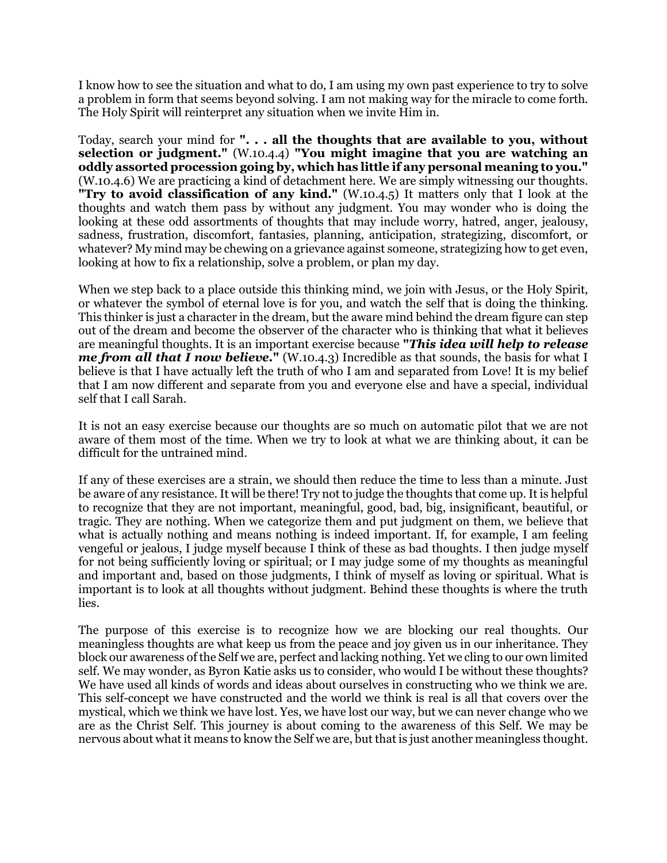I know how to see the situation and what to do, I am using my own past experience to try to solve a problem in form that seems beyond solving. I am not making way for the miracle to come forth. The Holy Spirit will reinterpret any situation when we invite Him in.

Today, search your mind for **". . . all the thoughts that are available to you, without selection or judgment."** (W.10.4.4) **"You might imagine that you are watching an oddly assorted procession going by, which has little if any personal meaning to you."** (W.10.4.6) We are practicing a kind of detachment here. We are simply witnessing our thoughts. **"Try to avoid classification of any kind."** (W.10.4.5) It matters only that I look at the thoughts and watch them pass by without any judgment. You may wonder who is doing the looking at these odd assortments of thoughts that may include worry, hatred, anger, jealousy, sadness, frustration, discomfort, fantasies, planning, anticipation, strategizing, discomfort, or whatever? My mind may be chewing on a grievance against someone, strategizing how to get even, looking at how to fix a relationship, solve a problem, or plan my day.

When we step back to a place outside this thinking mind, we join with Jesus, or the Holy Spirit, or whatever the symbol of eternal love is for you, and watch the self that is doing the thinking. This thinker is just a character in the dream, but the aware mind behind the dream figure can step out of the dream and become the observer of the character who is thinking that what it believes are meaningful thoughts. It is an important exercise because **"***This idea will help to release me from all that I now believe.***"** (W.10.4.3) Incredible as that sounds, the basis for what I believe is that I have actually left the truth of who I am and separated from Love! It is my belief that I am now different and separate from you and everyone else and have a special, individual self that I call Sarah.

It is not an easy exercise because our thoughts are so much on automatic pilot that we are not aware of them most of the time. When we try to look at what we are thinking about, it can be difficult for the untrained mind.

If any of these exercises are a strain, we should then reduce the time to less than a minute. Just be aware of any resistance. It will be there! Try not to judge the thoughts that come up. It is helpful to recognize that they are not important, meaningful, good, bad, big, insignificant, beautiful, or tragic. They are nothing. When we categorize them and put judgment on them, we believe that what is actually nothing and means nothing is indeed important. If, for example, I am feeling vengeful or jealous, I judge myself because I think of these as bad thoughts. I then judge myself for not being sufficiently loving or spiritual; or I may judge some of my thoughts as meaningful and important and, based on those judgments, I think of myself as loving or spiritual. What is important is to look at all thoughts without judgment. Behind these thoughts is where the truth lies.

The purpose of this exercise is to recognize how we are blocking our real thoughts. Our meaningless thoughts are what keep us from the peace and joy given us in our inheritance. They block our awareness of the Self we are, perfect and lacking nothing. Yet we cling to our own limited self. We may wonder, as Byron Katie asks us to consider, who would I be without these thoughts? We have used all kinds of words and ideas about ourselves in constructing who we think we are. This self-concept we have constructed and the world we think is real is all that covers over the mystical, which we think we have lost. Yes, we have lost our way, but we can never change who we are as the Christ Self. This journey is about coming to the awareness of this Self. We may be nervous about what it means to know the Self we are, but that is just another meaningless thought.